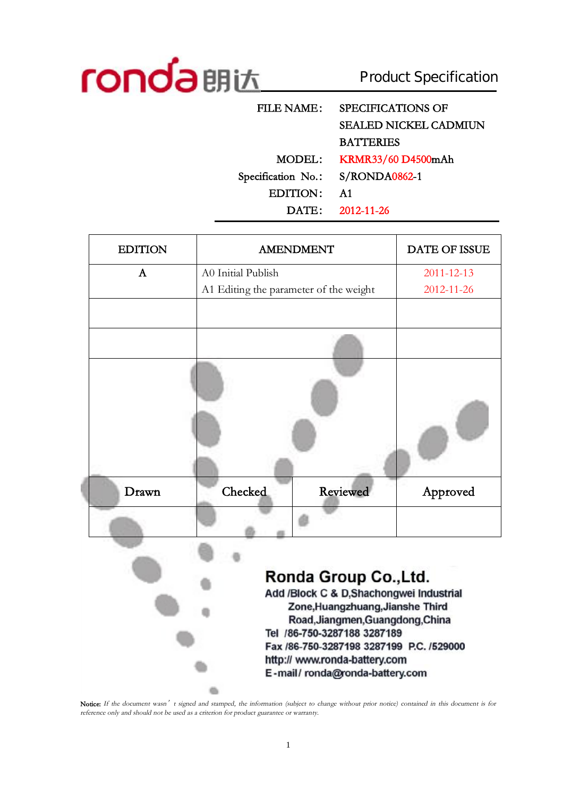

ij

Product Specification

| <b>FILE NAME:</b>  | <b>SPECIFICATIONS OF</b>     |
|--------------------|------------------------------|
|                    | <b>SEALED NICKEL CADMIUN</b> |
|                    | <b>BATTERIES</b>             |
| MODEL:             | KRMR33/60 D4500mAh           |
| Specification No.: | S/RONDA0862-1                |
| <b>EDITION:</b>    | A <sub>1</sub>               |
|                    | $DATA: 2012-11-26$           |
|                    |                              |

| <b>EDITION</b> | <b>AMENDMENT</b>                                                     | <b>DATE OF ISSUE</b> |  |  |  |  |
|----------------|----------------------------------------------------------------------|----------------------|--|--|--|--|
| A              | A0 Initial Publish                                                   | 2011-12-13           |  |  |  |  |
|                | A1 Editing the parameter of the weight                               | 2012-11-26           |  |  |  |  |
|                |                                                                      |                      |  |  |  |  |
|                |                                                                      |                      |  |  |  |  |
|                |                                                                      |                      |  |  |  |  |
| Drawn          | Checked<br><b>Reviewed</b>                                           | Approved             |  |  |  |  |
|                |                                                                      |                      |  |  |  |  |
|                |                                                                      |                      |  |  |  |  |
|                | Ronda Group Co., Ltd.                                                |                      |  |  |  |  |
|                | Add /Block C & D,Shachongwei Industrial                              |                      |  |  |  |  |
|                | Zone, Huangzhuang, Jianshe Third<br>Road, Jiangmen, Guangdong, China |                      |  |  |  |  |
|                | Tel /86-750-3287188 3287189                                          |                      |  |  |  |  |
|                | Fax /86-750-3287198 3287199 P.C. /529000                             |                      |  |  |  |  |
|                | http:// www.ronda-battery.com                                        |                      |  |  |  |  |
|                | E-mail/ronda@ronda-battery.com                                       |                      |  |  |  |  |

Notice: If the document wasn' t signed and stamped, the information (subject to change without prior notice) contained in this document is for *reference only and should not be used as <sup>a</sup> criterion for product guarantee or warranty.*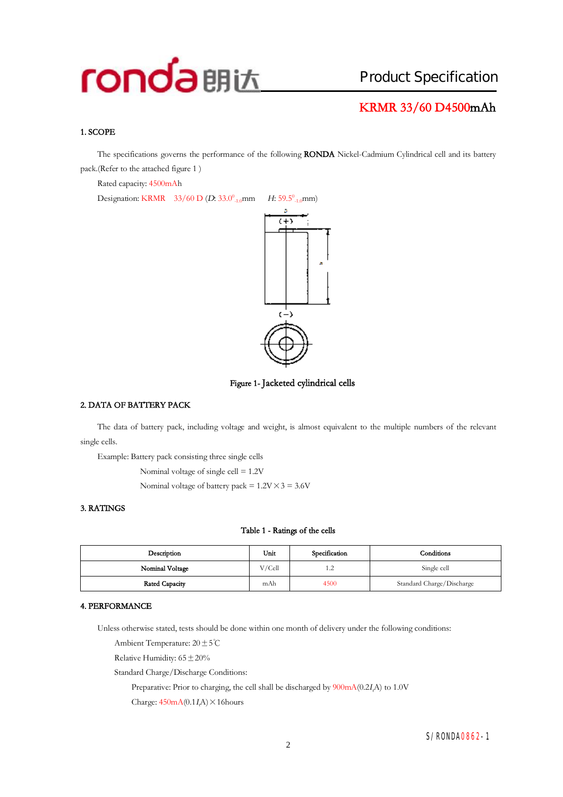### **KRMR 33/60 D4500mAh**

#### **1. SCOPE**

The specifications governs the performance of the following **RONDA** Nickel-Cadmium Cylindrical cell and its battery pack.(Refer to the attached figure 1 )

Rated capacity: 4500mAh

Designation: KRMR 33/60 D (*D*: 33.0<sup>0</sup><sub>-1.0</sub>mm  $_{-1.0}$ mm *H*: 59.5<sup>0</sup><sub>-1.0</sub>mm)



**Figure 1- Jacketed cylindrical cells** 

#### **2. DATA OF BATTERY PACK**

The data of battery pack, including voltage and weight, is almost equivalent to the multiple numbers of the relevant single cells.

Example: Battery pack consisting three single cells

Nominal voltage of single cell = 1.2V

Nominal voltage of battery pack =  $1.2V \times 3 = 3.6V$ 

#### **3. RATINGS**

#### **Table 1 - Ratings of the cells**

| Description     | Unit   | Specification | Conditions                |
|-----------------|--------|---------------|---------------------------|
| Nominal Voltage | V/Cell | 1.2           | Single cell               |
| Rated Capacity  | mAh    | 4500          | Standard Charge/Discharge |

#### **4. PERFORMANCE**

Unless otherwise stated, tests should be done within one month of delivery under the following conditions:

Ambient Temperature: 20±5℃

Relative Humidity:  $65 \pm 20\%$ 

Standard Charge/Discharge Conditions:

Preparative: Prior to charging, the cell shall be discharged by 900mA(0.2*<sup>I</sup>t*A) to 1.0V

Charge:  $450mA(0.1I\text{A}) \times 16$ hours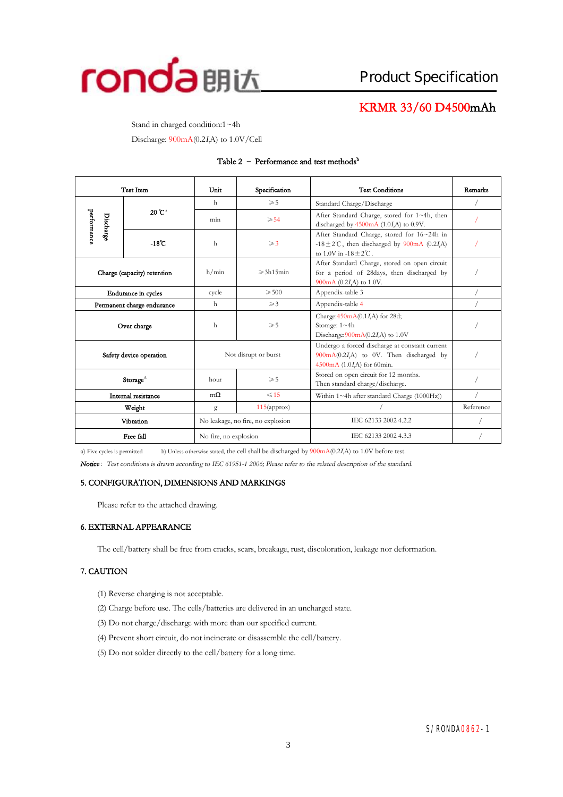

### **KRMR 33/60 D4500mAh**

Stand in charged condition:1~4h

Discharge: 900mA(0.2*<sup>I</sup>t*A) to 1.0V/Cell

#### **Table 2 – Performance and test methods<sup>b</sup>**

| <b>Test Item</b>            |                   | Unit<br>Specification |                                                                                                                                                              | <b>Test Conditions</b>                                                                                                            | Remarks   |
|-----------------------------|-------------------|-----------------------|--------------------------------------------------------------------------------------------------------------------------------------------------------------|-----------------------------------------------------------------------------------------------------------------------------------|-----------|
|                             |                   | h                     | $\geqslant 5$                                                                                                                                                | Standard Charge/Discharge                                                                                                         |           |
| performance<br>Discharge    | $20^{\circ}C^{a}$ | min                   | $\geqslant 54$                                                                                                                                               | After Standard Charge, stored for 1~4h, then<br>discharged by $4500 \text{mA}$ (1.0 <i>I</i> ,A) to 0.9V.                         |           |
|                             | $-18^\circ$ C     | $\mathbf{h}$          | $\geqslant$ 3                                                                                                                                                | After Standard Charge, stored for 16~24h in<br>-18 $\pm$ 2°C, then discharged by 900mA (0.2IA)<br>to 1.0V in $-18 + 2^{\circ}C$ . |           |
| Charge (capacity) retention |                   | h/min                 | After Standard Charge, stored on open circuit<br>$\geqslant$ 3h15min<br>for a period of 28days, then discharged by<br>900 $mA$ (0.2I <sub>A</sub> ) to 1.0V. |                                                                                                                                   |           |
| <b>Endurance</b> in cycles  |                   | cycle                 | $\geqslant 500$                                                                                                                                              | Appendix-table 3                                                                                                                  |           |
| Permanent charge endurance  |                   | h                     | $\geqslant$ 3                                                                                                                                                | Appendix-table 4                                                                                                                  |           |
| Over charge                 |                   | h<br>$\geqslant 5$    |                                                                                                                                                              | Charge: $450 \text{mA}(0.1 I, A)$ for 28d;<br>Storage: 1~4h<br>Discharge: $900mA(0.2I,A)$ to 1.0V                                 |           |
| Safety device operation     |                   | Not disrupt or burst  |                                                                                                                                                              | Undergo a forced discharge at constant current<br>900mA(0.2I,A) to 0V. Then discharged by<br>4500mA $(1.0I,A)$ for 60min.         |           |
| Storage $^{\wedge}$         |                   | $\geqslant 5$<br>hour |                                                                                                                                                              | Stored on open circuit for 12 months.<br>Then standard charge/discharge.                                                          |           |
| Internal resistance         |                   | $m\Omega$             | $\leq 15$                                                                                                                                                    | Within $1 \sim 4h$ after standard Charge (1000Hz))                                                                                |           |
|                             | Weight            | g                     | $115$ (approx)                                                                                                                                               |                                                                                                                                   | Reference |
|                             | Vibration         |                       | No leakage, no fire, no explosion                                                                                                                            | IEC 62133 2002 4.2.2                                                                                                              |           |
| Free fall                   |                   | No fire, no explosion |                                                                                                                                                              | IEC 62133 2002 4.3.3                                                                                                              |           |

a) Five cycles is permitted b) Unless otherwise stated, the cell shall be discharged by 900mA(0.2*<sup>I</sup>t*A) to 1.0V before test.

*Notice:Test conditions is drawn according to IEC 61951-1 2006; Please refer to the related description of the standard.* 

#### **5. CONFIGURATION, DIMENSIONS AND MARKINGS**

Please refer to the attached drawing.

#### **6. EXTERNAL APPEARANCE**

The cell/battery shall be free from cracks, scars, breakage, rust, discoloration, leakage nor deformation.

#### **7. CAUTION**

- (1) Reverse charging is not acceptable.
- (2) Charge before use. The cells/batteries are delivered in an uncharged state.
- (3) Do not charge/discharge with more than our specified current.
- (4) Prevent short circuit, do not incinerate or disassemble the cell/battery.
- (5) Do not solder directly to the cell/battery for a long time.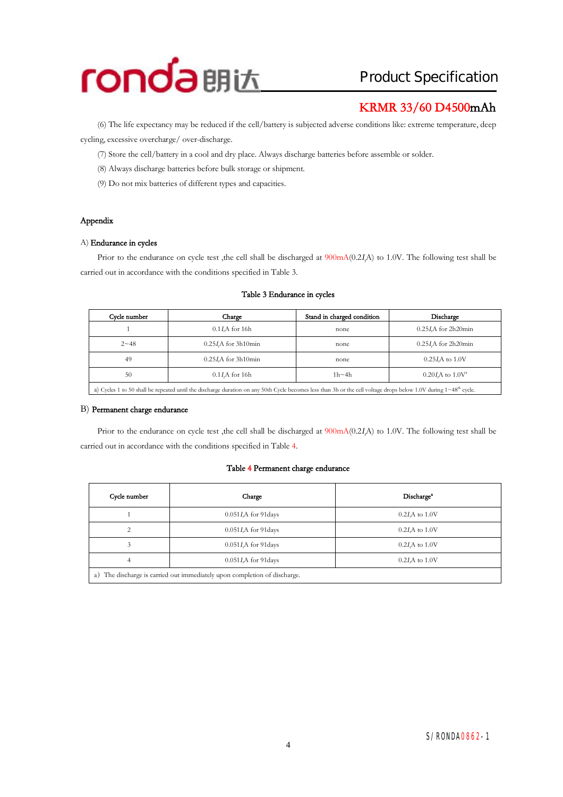

## **KRMR 33/60 D4500mAh**

(6) The life expectancy may be reduced if the cell/battery is subjected adverse conditionslike: extreme temperature, deep cycling, excessive overcharge/ over-discharge.

- (7) Store the cell/battery in a cool and dry place. Always discharge batteries before assemble or solder.
- (8) Always discharge batteries before bulk storage or shipment.
- (9) Do not mix batteries of different types and capacities.

#### **Appendix**

#### A) **Endurance in cycles**

Prior to the endurance on cycle test ,the cell shall be discharged at 900mA(0.2*<sup>I</sup>t*A) to 1.0V. The following test shall be carried out in accordance with the conditions specified in Table 3.

| Cycle number | Charge                                                                                                                                                                             | Stand in charged condition | Discharge                 |  |  |  |  |
|--------------|------------------------------------------------------------------------------------------------------------------------------------------------------------------------------------|----------------------------|---------------------------|--|--|--|--|
|              | $0.1I$ A for 16h                                                                                                                                                                   | none                       | $0.25I$ A for 2h20min     |  |  |  |  |
| $2 - 48$     | 0.25 <i>I.A</i> for 3h10min                                                                                                                                                        | none                       | $0.25I$ A for 2h20min     |  |  |  |  |
| 49           | 0.25 <i>I.A</i> for 3h10min                                                                                                                                                        | none                       | $0.25I\text{A}$ to $1.0V$ |  |  |  |  |
| 50           | $0.1I$ A for 16h                                                                                                                                                                   | $1h \sim 4h$               | $0.20 I.A$ to $1.0 V^2$   |  |  |  |  |
|              | a) Cycles 1 to 50 shall be repeated until the discharge duration on any 50th Cycle becomes less than 3h or the cell voltage drops below 1.0V during $1 \sim 48^{\text{th}}$ cycle. |                            |                           |  |  |  |  |

#### **Table 3 Endurance in cycles**

#### B) **Permanent charge endurance**

Prior to the endurance on cycle test ,the cell shall be discharged at 900mA(0.2*<sup>I</sup>t*A) to 1.0V. The following test shall be carried out in accordance with the conditions specified in Table 4.

#### **Table 4 Permanent charge endurance**

| Cycle number                                                                 | Charge                   | Discharge <sup>®</sup> |  |  |  |  |  |
|------------------------------------------------------------------------------|--------------------------|------------------------|--|--|--|--|--|
|                                                                              | $0.051I$ , A for 91 days | $0.2I$ , A to $1.0V$   |  |  |  |  |  |
| ↑                                                                            | $0.051I$ , A for 91 days | $0.2I$ , A to $1.0V$   |  |  |  |  |  |
| 3                                                                            | $0.051I$ , A for 91 days | $0.2I$ , A to $1.0V$   |  |  |  |  |  |
| 4                                                                            | $0.051I$ , A for 91 days | $0.2I$ A to $1.0V$     |  |  |  |  |  |
| The discharge is carried out immediately upon completion of discharge.<br>a) |                          |                        |  |  |  |  |  |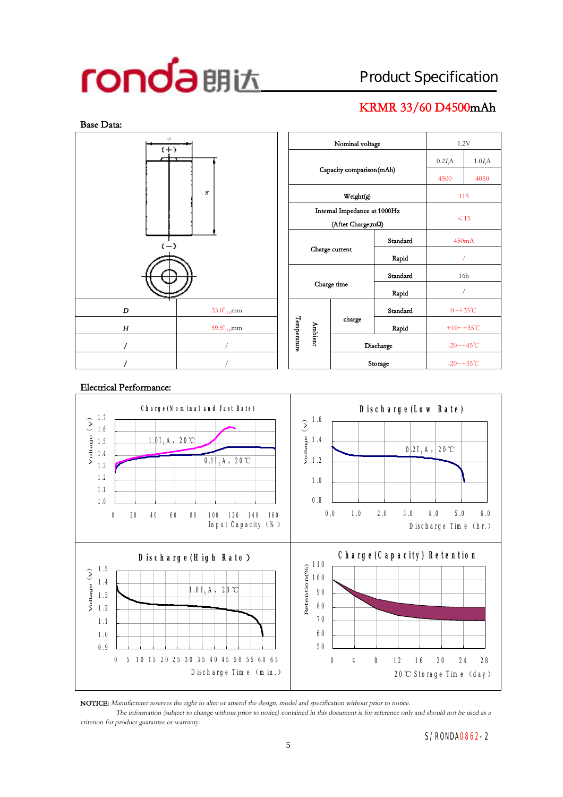## **KRMR 33/60 D4500mAh**



| $\sqrt{2}$<br>$(+)$                 |                             |  |                         |                              | 1.2V                       |          |                         |                      |
|-------------------------------------|-----------------------------|--|-------------------------|------------------------------|----------------------------|----------|-------------------------|----------------------|
|                                     |                             |  |                         |                              |                            |          | 0.2I <sub>r</sub> A     | $1.0I_tA$            |
|                                     |                             |  |                         |                              | Capacity comparison(mAh)   | 4500     | 4050                    |                      |
| Ħ                                   |                             |  |                         |                              |                            | 115      |                         |                      |
|                                     |                             |  |                         | Internal Impedance at 1000Hz | $\leq 15$                  |          |                         |                      |
| $\left(\frac{1}{2}\right)$          |                             |  |                         |                              | (After Charge;m $\Omega$ ) |          |                         |                      |
|                                     |                             |  |                         |                              |                            | Standard |                         | 450mA                |
|                                     |                             |  | Charge current<br>Rapid |                              |                            |          |                         |                      |
|                                     |                             |  | Standard                |                              |                            |          | 16h                     |                      |
|                                     |                             |  | Charge time<br>Rapid    |                              |                            |          |                         |                      |
| D                                   | $33.0^0$ <sub>-1.0</sub> mm |  |                         |                              |                            | Standard | $0 \sim +35^{\circ}C$   |                      |
| 59.5 $^{0}$ <sub>-1.0</sub> mm<br>H |                             |  |                         | Ambient                      | charge                     | Rapid    | +10~+35°C               |                      |
|                                     |                             |  | Temperature             |                              | Discharge                  |          |                         | $-20 - +45^{\circ}C$ |
| L                                   |                             |  |                         |                              |                            | Storage  | $-20 \sim +35^{\circ}C$ |                      |

#### **C h a rg e (N o m in a l a n d Fa st R a te )** 1.0 1.1 1.2 1.3 1.4 1.5 1.6 1.7 0 20 40 60 80 100 120 140 160 In put Capacity (%) V o ltag e(V ) 1.0*I<sup>t</sup>* A ,20℃ 0.1*I<sup>t</sup>* A ,20℃  **D isch a rg e (Lo w R a te )** 0.8 1.0 1.2 1.4 1.6 0.0 1.0 2.0 3.0 4.0 5.0 6.0 D ischarge Time (hr.) Voltage 1<br>2<br>9 0.2*I<sup>t</sup>* A ,20℃ **D isch a rg e (H ig h R a te)** 0.9 1.0 1.1 1.2 1.3 1.4  $($   $>$   $)$   $\frac{1}{3}$   $\frac{1}{2}$ <br>  $\frac{1}{2}$   $\frac{1}{2}$ <br>  $\frac{1}{2}$   $\frac{1}{2}$ 0 5 10 15 20 25 30 35 40 45 50 55 60 6 5 D ischarge Time (m in.) 1.0*I<sup>t</sup>* A ,20℃  **C h a rg e (C a p a city) R e te n tio n** 50 60 70 80 90 100 110 0 4 8 12 16 20 24 28  $20^{\circ}$ C Storage Time (day) Reten tio n (% )

#### **Electrical Performance:**

**NOTICE:** *Manufacturer reserves the right to alter or amend the design, model and specification without prior to notice.*

The information (subject to change without prior to notice) contained in this document is for reference only and should not be used as a *criterion for product guarantee or warranty.*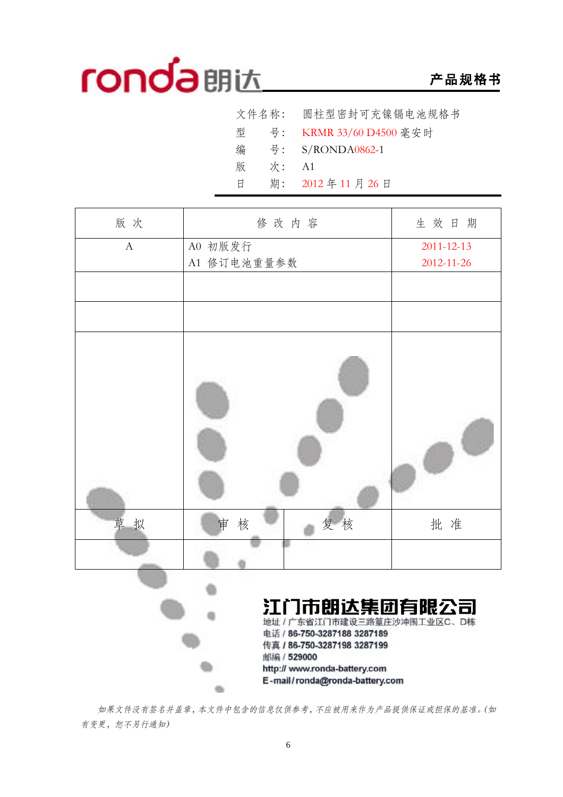## **产品规格书**

|   |    | 文件名称: 圆柱型密封可充镍镉电池规格书      |
|---|----|---------------------------|
|   |    | 型 号: KRMR 33/60 D4500 毫安时 |
| 编 |    | 号: $S/RONDA0862-1$        |
| 版 | 次: | - A 1                     |
| 日 |    | 期: 2012年11月26日            |

| 版次           | 修改内容                                                                                                                                                     | 生效日期             |
|--------------|----------------------------------------------------------------------------------------------------------------------------------------------------------|------------------|
| $\mathbf{A}$ | A0 初版发行                                                                                                                                                  | $2011 - 12 - 13$ |
|              | A1 修订电池重量参数                                                                                                                                              | 2012-11-26       |
|              |                                                                                                                                                          |                  |
|              |                                                                                                                                                          |                  |
|              |                                                                                                                                                          |                  |
| 草拟           | 复核<br>核<br>审                                                                                                                                             | 批准               |
|              |                                                                                                                                                          |                  |
|              | 江门市朗达集团有限公司<br>地址 / 广东省江门市建设三路篁庄沙冲围工业区C、D栋<br>电话 / 86-750-3287188 3287189<br>传真 / 86-750-3287198 3287199<br>邮编 / 529000<br>http:// www.ronda-battery.com |                  |

*如果文件没有签名并盖章,本文件中包含的信息仅供参考,不应被用来作为产品提供保证或担保的基准。(如 有变更,恕不另行通知)* 

 $\begin{array}{c} \bullet \\ \bullet \end{array}$ 

E-mail/ronda@ronda-battery.com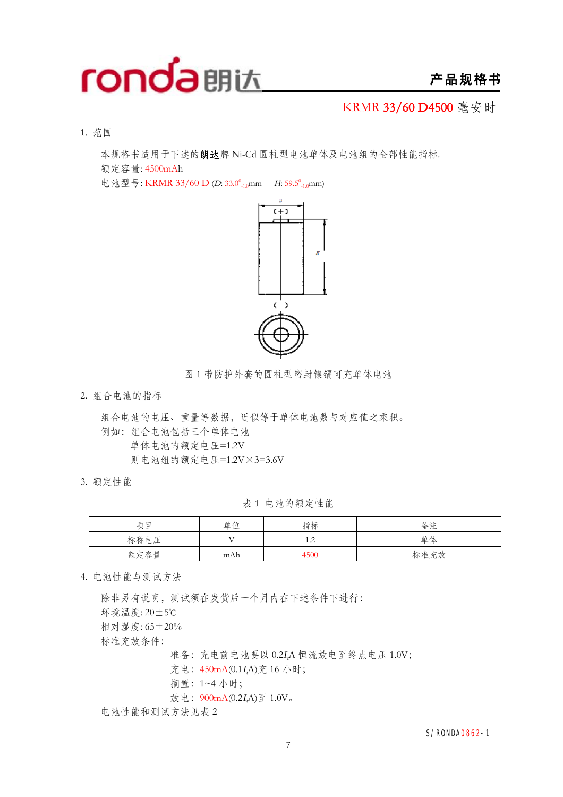

### **产品规格书**

KRMR **33/60 D4500** 毫安时

1. 范围

本规格书适用于下述的**朗达**牌 Ni-Cd 圆柱型电池单体及电池组的全部性能指标. 额定容量: 4500mAh

电池型号: KRMR 33/60 D (*D*: 33.0<sup>°</sup><sub>-1.0</sub>mm *H*: 59.5<sup>°</sup><sub>-1.0</sub>mm)



图 1 带防护外套的圆柱型密封镍镉可充单体电池

2. 组合电池的指标

组合电池的电压、重量等数据,近似等于单体电池数与对应值之乘积。 例如:组合电池包括三个单体电池 单体电池的额定电压=1.2V 则电池组的额定电压=1.2V×3=3.6V

3. 额定性能

表 1 电池的额定性能

| 项目   | 单位         | 指标                          | 备注   |
|------|------------|-----------------------------|------|
| 标称电压 | <b>T</b> 7 | $1^\circ$<br>$\overline{1}$ | 单体   |
| 额定容量 | mAh        | 1500                        | 标准充放 |

4. 电池性能与测试方法

除非另有说明,测试须在发货后一个月内在下述条件下进行: 环境温度: 20±5℃ 相对湿度: 65±20% 标准充放条件: 准备:充电前电池要以 0.2*<sup>I</sup>t*A 恒流放电至终点电压 1.0V; 充电:450mA(0.1*<sup>I</sup>t*A)充 16 小时; 搁置:1~4 小时;

放电:900mA(0.2*<sup>I</sup>t*A)至 1.0V。

电池性能和测试方法见表 2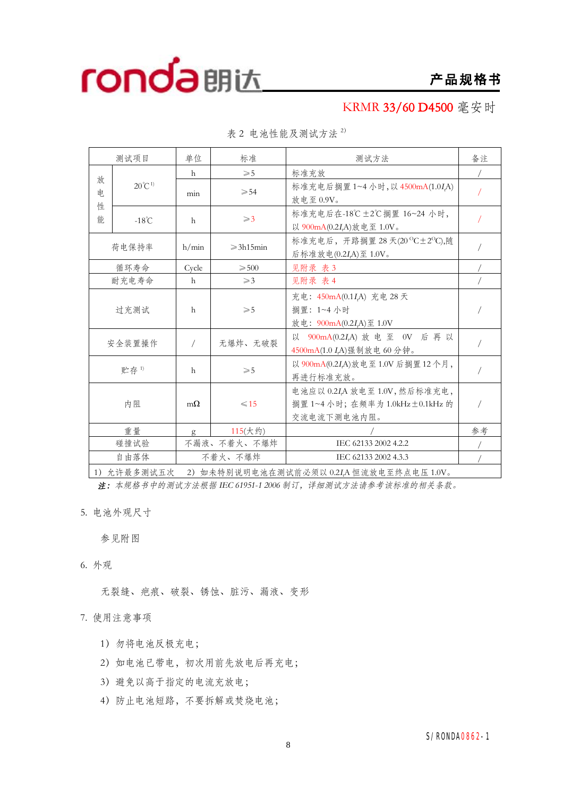**产品规格书**

KRMR **33/60 D4500** 毫安时

| 测试项目                         |                   | 单位           | 标准                                                                             | 测试方法                                                                            | 备注 |
|------------------------------|-------------------|--------------|--------------------------------------------------------------------------------|---------------------------------------------------------------------------------|----|
|                              |                   | h            | $\geqslant$ 5                                                                  | 标准充放                                                                            |    |
| 放<br>电                       | $20^{\circ}C^{1}$ | min          | $\geqslant 54$                                                                 | 标准充电后搁置 1~4 小时, 以 4500mA(1.0IA)<br>放电至 0.9V。                                    |    |
| 性<br>能                       | $-18^{\circ}$ C   | $\mathsf{h}$ | $\geqslant$ 3                                                                  | 标准充电后在-18℃±2℃搁置 16~24 小时,<br>以 900mA(0.2I,A)放电至 1.0V。                           |    |
|                              | 荷电保持率             | h/min        | $\geqslant$ 3h15min                                                            | 标准充电后, 开路搁置 28 天(20 °C±2°C),随<br>后标准放电(0.2I,A)至 1.0V。                           |    |
|                              | 循环寿命              | Cycle        | $\geqslant 500$                                                                | 见附录 表 3                                                                         |    |
|                              | 耐充电寿命             | h            | $\geqslant$ 3                                                                  | 见附录 表 4                                                                         |    |
|                              | 过充测试              | $\mathsf{h}$ | $\geqslant 5$                                                                  | 充电: 450mA(0.1I,A) 充电 28 天<br>搁置: 1~4 小时<br>放电: 900mA(0.2I <sub>r</sub> A)至 1.0V |    |
|                              | 无爆炸、无破裂<br>安全装置操作 |              |                                                                                | 以 900mA(0.2I,A) 放电至 0V 后再以<br>4500mA(1.0 I <sub>r</sub> A)强制放电 60 分钟。           |    |
|                              | 贮存 $1$            | $\mathsf{h}$ | $\geqslant 5$                                                                  | 以 900mA(0.2IA)放电至 1.0V 后搁置 12个月,<br>再进行标准充放。                                    |    |
| 内阻<br>$\leq 15$<br>$m\Omega$ |                   |              | 电池应以 0.2IA 放电至 1.0V, 然后标准充电,<br>搁置 1~4 小时; 在频率为 1.0kHz±0.1kHz 的<br>交流电流下测电池内阻。 |                                                                                 |    |
|                              | 重量                | g            | 115(大约)                                                                        |                                                                                 | 参考 |
|                              | 碰撞试验              |              | 不漏液、不着火、不爆炸                                                                    | IEC 62133 2002 4.2.2                                                            |    |
| 自由落体                         |                   |              | 不着火、不爆炸                                                                        | IEC 62133 2002 4.3.3                                                            |    |

表 2 电池性能及测试方法 <sup>2</sup>)

1)允许最多测试五次 2)如未特别说明电池在测试前必须以 0.2*<sup>I</sup>t*A 恒流放电至终点电压 1.0V。

*注:本规格书中的测试方法根据 IEC 61951-1 <sup>2006</sup> 制订,详细测试方法请参考该标准的相关条款。*

5. 电池外观尺寸

参见附图

6. 外观

无裂缝、疤痕、破裂、锈蚀、脏污、漏液、变形

7. 使用注意事项

- 1)勿将电池反极充电;
- 2) 如电池已带电, 初次用前先放电后再充电;
- 3)避免以高于指定的电流充放电;
- 4)防止电池短路,不要拆解或焚烧电池;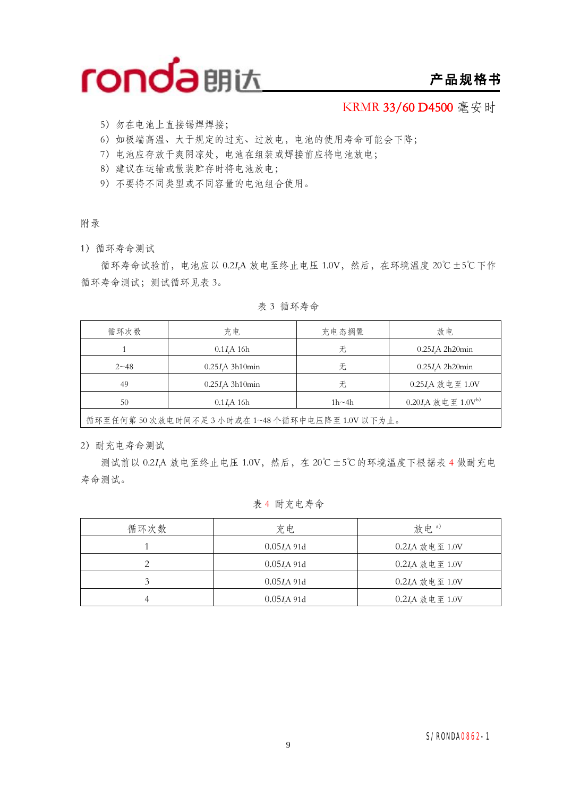

### **产品规格书**

KRMR **33/60 D4500** 毫安时

- 5)勿在电池上直接锡焊焊接;
- 6)如极端高温、大于规定的过充、过放电,电池的使用寿命可能会下降;
- 7)电池应存放干爽阴凉处,电池在组装或焊接前应将电池放电;
- 8)建议在运输或散装贮存时将电池放电;
- 9)不要将不同类型或不同容量的电池组合使用。

#### 附录

1)循环寿命测试

循环寿命试验前,电池应以 0.2*<sup>I</sup>t*A 放电至终止电压 1.0V,然后,在环境温度 20℃±5℃下作 循环寿命测试;测试循环见表 3。

表 3 循环寿命

| 循环次数     | 充电                      | 充电态搁置        | 放电                          |
|----------|-------------------------|--------------|-----------------------------|
|          | $0.1I$ A 16h            | 无            | $0.25I\text{A}$ 2h20min     |
| $2 - 48$ | $0.25I\text{A}$ 3h10min | 无            | $0.25I$ A 2h20 $min$        |
| 49       | $0.25I\text{A}$ 3h10min | 无            | 0.25I <sub>A</sub> 放电至 1.0V |
| 50       | $0.1I$ A 16h            | $1h \sim 4h$ | $0.20I$ A 放电至 $1.0V^{b)}$   |
|          |                         |              |                             |

循环至任何第 50 次放电时间不足 3 小时或在 1~48 个循环中电压降至 1.0V 以下为止。

2)耐充电寿命测试

测试前以 0.2*<sup>I</sup>t*A 放电至终止电压 1.0V,然后,在 20℃±5℃的环境温度下根据表 4 做耐充电 寿命测试。

### 表 4 耐充电寿命

| 循环次数 | 充电            | 放电。)              |
|------|---------------|-------------------|
|      | $0.05I$ A 91d | $0.2I$ A 放电至 1.0V |
|      | 0.05 I A 91d  | 0.2IA 放电至 1.0V    |
|      | $0.05I$ A 91d | 0.2IA 放电至 1.0V    |
|      | $0.05I$ A 91d | 0.2IA 放电至 1.0V    |